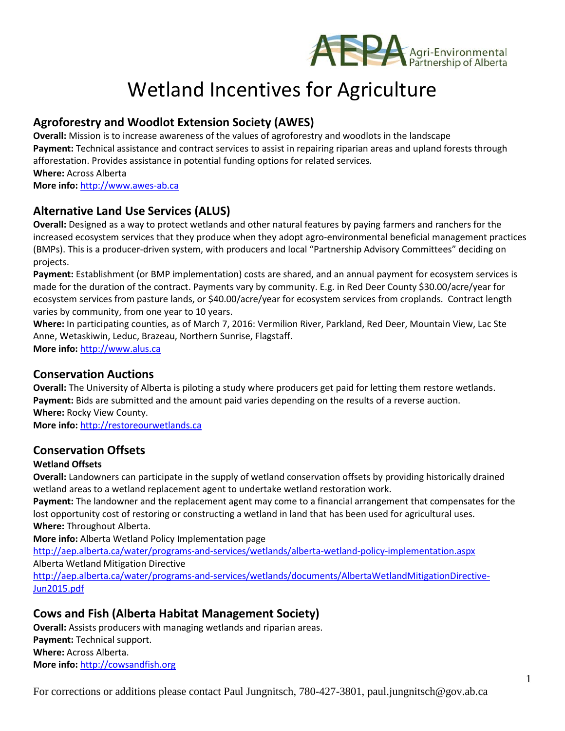

# Wetland Incentives for Agriculture

# **Agroforestry and Woodlot Extension Society (AWES)**

**Overall:** Mission is to increase awareness of the values of agroforestry and woodlots in the landscape **Payment:** Technical assistance and contract services to assist in repairing riparian areas and upland forests through afforestation. Provides assistance in potential funding options for related services. **Where:** Across Alberta **More info:** [http://www.awes-ab.ca](http://www.awes-ab.ca/)

## **Alternative Land Use Services (ALUS)**

**Overall:** Designed as a way to protect wetlands and other natural features by paying farmers and ranchers for the increased ecosystem services that they produce when they adopt agro-environmental beneficial management practices (BMPs). This is a producer-driven system, with producers and local "Partnership Advisory Committees" deciding on projects.

**Payment:** Establishment (or BMP implementation) costs are shared, and an annual payment for ecosystem services is made for the duration of the contract. Payments vary by community. E.g. in Red Deer County \$30.00/acre/year for ecosystem services from pasture lands, or \$40.00/acre/year for ecosystem services from croplands. Contract length varies by community, from one year to 10 years.

**Where:** In participating counties, as of March 7, 2016: Vermilion River, Parkland, Red Deer, Mountain View, Lac Ste Anne, Wetaskiwin, Leduc, Brazeau, Northern Sunrise, Flagstaff.

**More info:** [http://www.alus.ca](http://www.alus.ca/)

#### **Conservation Auctions**

**Overall:** The University of Alberta is piloting a study where producers get paid for letting them restore wetlands. **Payment:** Bids are submitted and the amount paid varies depending on the results of a reverse auction. **Where:** Rocky View County.

**More info:** [http://restoreourwetlands.ca](http://restoreourwetlands.ca/)

#### **Conservation Offsets**

#### **Wetland Offsets**

**Overall:** Landowners can participate in the supply of wetland conservation offsets by providing historically drained wetland areas to a wetland replacement agent to undertake wetland restoration work.

**Payment:** The landowner and the replacement agent may come to a financial arrangement that compensates for the lost opportunity cost of restoring or constructing a wetland in land that has been used for agricultural uses. **Where:** Throughout Alberta.

**More info:** Alberta Wetland Policy Implementation page

<http://aep.alberta.ca/water/programs-and-services/wetlands/alberta-wetland-policy-implementation.aspx> Alberta Wetland Mitigation Directive

[http://aep.alberta.ca/water/programs-and-services/wetlands/documents/AlbertaWetlandMitigationDirective-](http://aep.alberta.ca/water/programs-and-services/wetlands/documents/AlbertaWetlandMitigationDirective-Jun2015.pdf)[Jun2015.pdf](http://aep.alberta.ca/water/programs-and-services/wetlands/documents/AlbertaWetlandMitigationDirective-Jun2015.pdf)

## **Cows and Fish (Alberta Habitat Management Society)**

**Overall:** Assists producers with managing wetlands and riparian areas. **Payment:** Technical support. **Where:** Across Alberta. **More info:** [http://cowsandfish.org](http://cowsandfish.org/)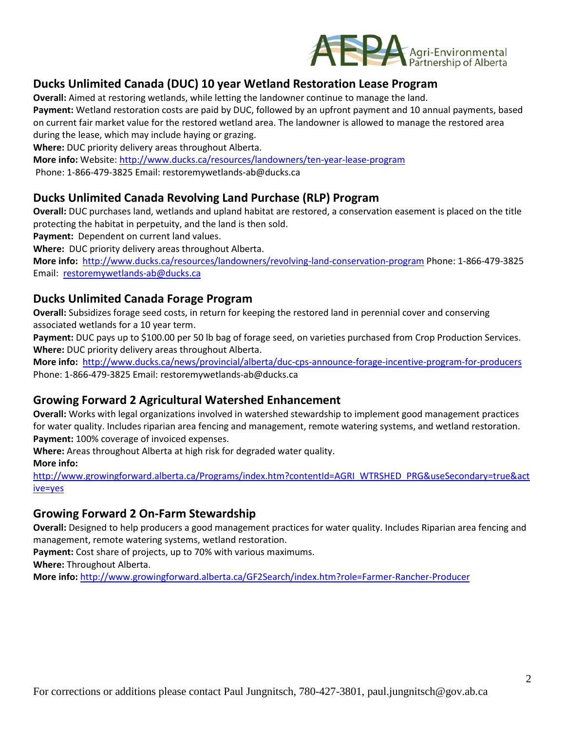

# **Ducks Unlimited Canada (DUC) 10 year Wetland Restoration Lease Program**

**Overall:** Aimed at restoring wetlands, while letting the landowner continue to manage the land.

**Payment:** Wetland restoration costs are paid by DUC, followed by an upfront payment and 10 annual payments, based on current fair market value for the restored wetland area. The landowner is allowed to manage the restored area during the lease, which may include haying or grazing.

**Where:** DUC priority delivery areas throughout Alberta.

**More info:** Website: <http://www.ducks.ca/resources/landowners/ten-year-lease-program> Phone: 1-866-479-3825 Email: restoremywetlands-ab@ducks.ca

## **Ducks Unlimited Canada Revolving Land Purchase (RLP) Program**

**Overall:** DUC purchases land, wetlands and upland habitat are restored, a conservation easement is placed on the title protecting the habitat in perpetuity, and the land is then sold.

**Payment:** Dependent on current land values.

**Where:** DUC priority delivery areas throughout Alberta.

**More info:** <http://www.ducks.ca/resources/landowners/revolving-land-conservation-program> Phone: 1-866-479-3825 Email: [restoremywetlands-ab@ducks.ca](mailto:restoremywetlands-ab@ducks.ca)

## **Ducks Unlimited Canada Forage Program**

**Overall:** Subsidizes forage seed costs, in return for keeping the restored land in perennial cover and conserving associated wetlands for a 10 year term.

**Payment:** DUC pays up to \$100.00 per 50 lb bag of forage seed, on varieties purchased from Crop Production Services. **Where:** DUC priority delivery areas throughout Alberta.

**More info:** <http://www.ducks.ca/news/provincial/alberta/duc-cps-announce-forage-incentive-program-for-producers> Phone: 1-866-479-3825 Email: restoremywetlands-ab@ducks.ca

## **Growing Forward 2 Agricultural Watershed Enhancement**

**Overall:** Works with legal organizations involved in watershed stewardship to implement good management practices for water quality. Includes riparian area fencing and management, remote watering systems, and wetland restoration. **Payment:** 100% coverage of invoiced expenses.

**Where:** Areas throughout Alberta at high risk for degraded water quality.

**More info:** 

[http://www.growingforward.alberta.ca/Programs/index.htm?contentId=AGRI\\_WTRSHED\\_PRG&useSecondary=true&act](http://www.growingforward.alberta.ca/Programs/index.htm?contentId=AGRI_WTRSHED_PRG&useSecondary=true&active=yes) [ive=yes](http://www.growingforward.alberta.ca/Programs/index.htm?contentId=AGRI_WTRSHED_PRG&useSecondary=true&active=yes)

## **Growing Forward 2 On-Farm Stewardship**

**Overall:** Designed to help producers a good management practices for water quality. Includes Riparian area fencing and management, remote watering systems, wetland restoration.

**Payment:** Cost share of projects, up to 70% with various maximums.

**Where:** Throughout Alberta.

**More info:** <http://www.growingforward.alberta.ca/GF2Search/index.htm?role=Farmer-Rancher-Producer>